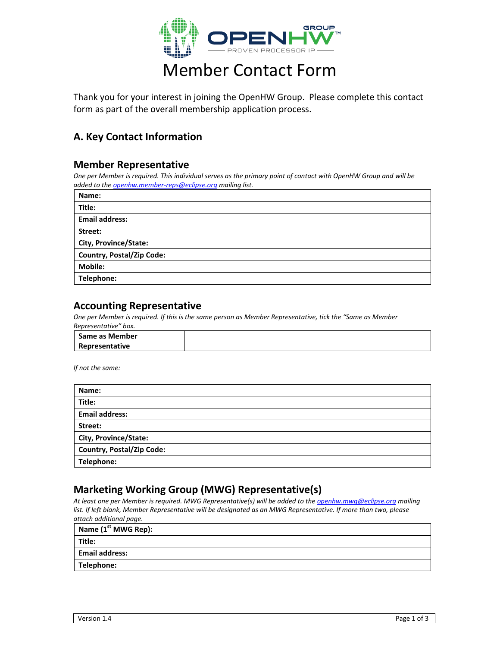

# Member Contact Form

Thank you for your interest in joining the OpenHW Group. Please complete this contact form as part of the overall membership application process.

### **A. Key Contact Information**

#### **Member Representative**

*One per Member is required. This individual serves as the primary point of contact with OpenHW Group and will be added to th[e openhw.member-reps@eclipse.org](mailto:openhw.member-reps@eclipse.org) mailing list.*

| Name:                            |  |
|----------------------------------|--|
| Title:                           |  |
| <b>Email address:</b>            |  |
| Street:                          |  |
| City, Province/State:            |  |
| <b>Country, Postal/Zip Code:</b> |  |
| <b>Mobile:</b>                   |  |
| Telephone:                       |  |

#### **Accounting Representative**

*One per Member is required. If this is the same person as Member Representative, tick the "Same as Member Representative" box.*

| l Same as Member |  |
|------------------|--|
| Representative   |  |

*If not the same:*

| Name:                            |  |
|----------------------------------|--|
| Title:                           |  |
| <b>Email address:</b>            |  |
| Street:                          |  |
| City, Province/State:            |  |
| <b>Country, Postal/Zip Code:</b> |  |
| Telephone:                       |  |

#### **Marketing Working Group (MWG) Representative(s)**

*At least one per Member is required. MWG Representative(s) will be added to th[e openhw.mwg@eclipse.org](mailto:openhw.mwg@eclipse.org) mailing*  list. If left blank, Member Representative will be designated as an MWG Representative. If more than two, please *attach additional page.*

| Name $(1st MWG Rep):$ |  |
|-----------------------|--|
| Title:                |  |
| Email address:        |  |
| Telephone:            |  |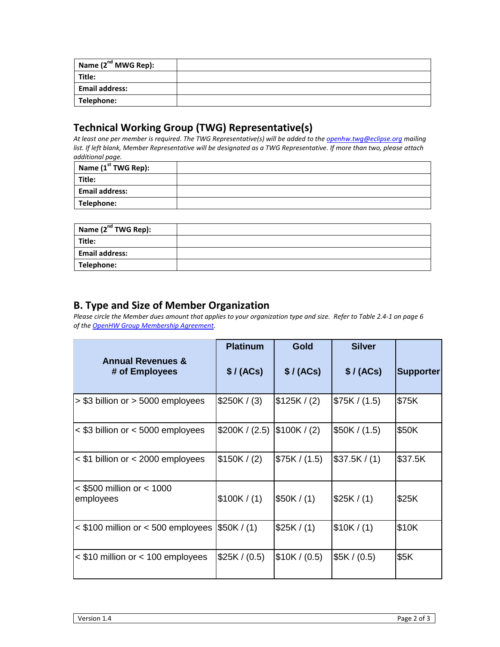| Name $(2^{nd}$ MWG Rep): |  |
|--------------------------|--|
| Title:                   |  |
| <b>Email address:</b>    |  |
| Telephone:               |  |

## **Technical Working Group (TWG) Representative(s)**

*At least one per member is required. The TWG Representative(s) will be added to the [openhw.twg@eclipse.org](mailto:openhw.twg@eclipse.org) mailing list. If left blank, Member Representative will be designated as a TWG Representative. If more than two, please attach additional page.*

| Name $(1st TWG Rep):$ |  |
|-----------------------|--|
| Title:                |  |
| <b>Email address:</b> |  |
| Telephone:            |  |

| Name (2 <sup>nd</sup> TWG Rep): |  |
|---------------------------------|--|
| Title:                          |  |
| <b>Email address:</b>           |  |
| Telephone:                      |  |

## **B. Type and Size of Member Organization**

*Please circle the Member dues amount that applies to your organization type and size. Refer to Table 2.4-1 on page 6 of th[e OpenHW Group Membership Agreement.](https://www.openhwgroup.org/membership/openhw-group-membership-agreement-2019-10-16.pdf)*

|                                                | <b>Platinum</b> | Gold          | <b>Silver</b> |                  |
|------------------------------------------------|-----------------|---------------|---------------|------------------|
| <b>Annual Revenues &amp;</b><br># of Employees | \$/(ACs)        | \$/ (ACs)     | \$/(ACs)      | <b>Supporter</b> |
| > \$3 billion or > 5000 employees              | \$250K / (3)    | \$125K / (2)  | \$75K / (1.5) | \$75K            |
| $<$ \$3 billion or $<$ 5000 employees          | \$200K / (2.5)  | \$100K / (2)  | \$50K / (1.5) | \$50K            |
| $<$ \$1 billion or $<$ 2000 employees          | \$150K / (2)    | \$75K / (1.5) | \$37.5K/(1)   | \$37.5K          |
| $<$ \$500 million or $<$ 1000<br>employees     | \$100K/(1)      | \$50K/(1)     | \$25K/(1)     | \$25K            |
| $<$ \$100 million or $<$ 500 employees         | \$50K / (1)     | \$25K/(1)     | \$10K/(1)     | \$10K            |
| < \$10 million or < 100 employees              | \$25K / (0.5)   | \$10K / (0.5) | \$5K / (0.5)  | \$5K             |